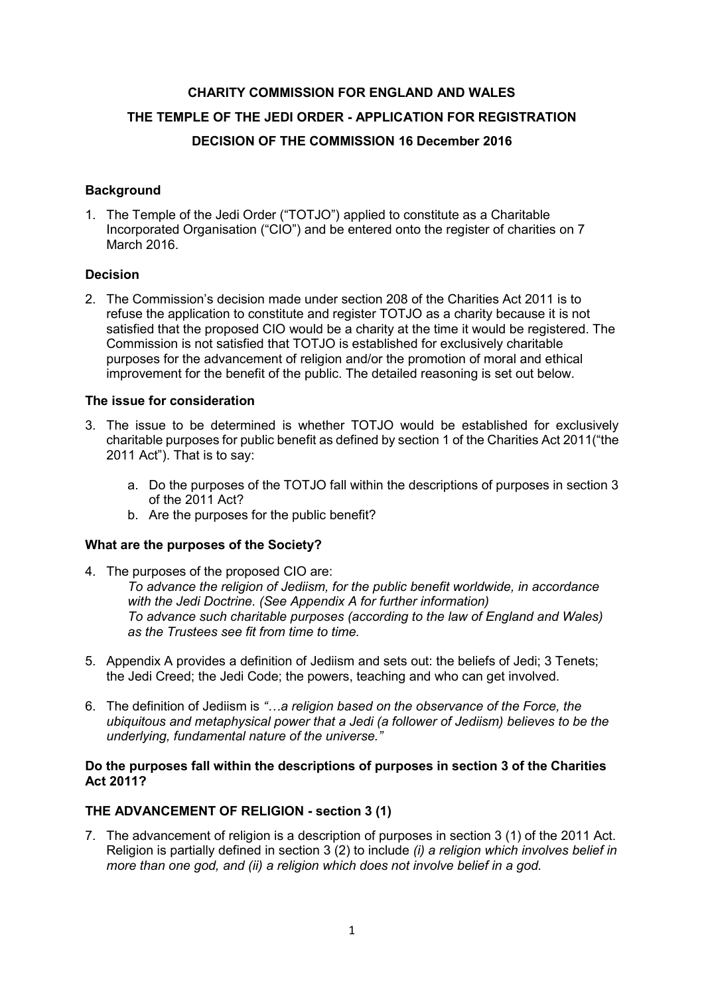## **CHARITY COMMISSION FOR ENGLAND AND WALES**

# **THE TEMPLE OF THE JEDI ORDER - APPLICATION FOR REGISTRATION**

# **DECISION OF THE COMMISSION 16 December 2016**

## **Background**

1. The Temple of the Jedi Order ("TOTJO") applied to constitute as a Charitable Incorporated Organisation ("CIO") and be entered onto the register of charities on 7 March 2016.

### **Decision**

2. The Commission's decision made under section 208 of the Charities Act 2011 is to refuse the application to constitute and register TOTJO as a charity because it is not satisfied that the proposed CIO would be a charity at the time it would be registered. The Commission is not satisfied that TOTJO is established for exclusively charitable purposes for the advancement of religion and/or the promotion of moral and ethical improvement for the benefit of the public. The detailed reasoning is set out below.

## **The issue for consideration**

- 3. The issue to be determined is whether TOTJO would be established for exclusively charitable purposes for public benefit as defined by section 1 of the Charities Act 2011("the 2011 Act"). That is to say:
	- a. Do the purposes of the TOTJO fall within the descriptions of purposes in section 3 of the 2011 Act?
	- b. Are the purposes for the public benefit?

### **What are the purposes of the Society?**

- 4. The purposes of the proposed CIO are: *To advance the religion of Jediism, for the public benefit worldwide, in accordance with the Jedi Doctrine. (See Appendix A for further information) To advance such charitable purposes (according to the law of England and Wales) as the Trustees see fit from time to time.*
- 5. Appendix A provides a definition of Jediism and sets out: the beliefs of Jedi; 3 Tenets; the Jedi Creed; the Jedi Code; the powers, teaching and who can get involved.
- 6. The definition of Jediism is *"…a religion based on the observance of the Force, the ubiquitous and metaphysical power that a Jedi (a follower of Jediism) believes to be the underlying, fundamental nature of the universe."*

### **Do the purposes fall within the descriptions of purposes in section 3 of the Charities Act 2011?**

# **THE ADVANCEMENT OF RELIGION - section 3 (1)**

7. The advancement of religion is a description of purposes in section 3 (1) of the 2011 Act. Religion is partially defined in section 3 (2) to include *(i) a religion which involves belief in more than one god, and (ii) a religion which does not involve belief in a god.*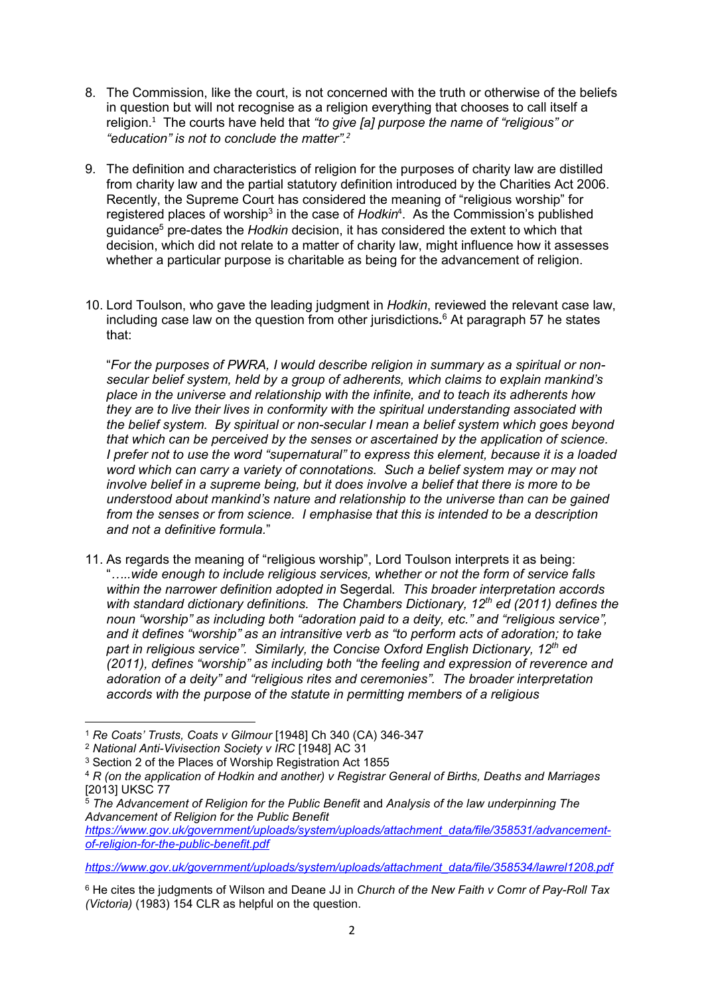- 8. The Commission, like the court, is not concerned with the truth or otherwise of the beliefs in question but will not recognise as a religion everything that chooses to call itself a religion.<sup>1</sup> The courts have held that *"to give [a] purpose the name of "religious" or "education" is not to conclude the matter".<sup>2</sup>*
- 9. The definition and characteristics of religion for the purposes of charity law are distilled from charity law and the partial statutory definition introduced by the Charities Act 2006. Recently, the Supreme Court has considered the meaning of "religious worship" for registered places of worship<sup>3</sup> in the case of *Hodkin*<sup>4</sup>. As the Commission's published guidance<sup>5</sup> pre-dates the *Hodkin* decision, it has considered the extent to which that decision, which did not relate to a matter of charity law, might influence how it assesses whether a particular purpose is charitable as being for the advancement of religion.
- 10. Lord Toulson, who gave the leading judgment in *Hodkin*, reviewed the relevant case law, including case law on the question from other jurisdictions*.*<sup>6</sup> At paragraph 57 he states that:

"*For the purposes of PWRA, I would describe religion in summary as a spiritual or non secular belief system, held by a group of adherents, which claims to explain mankind's place in the universe and relationship with the infinite, and to teach its adherents how they are to live their lives in conformity with the spiritual understanding associated with the belief system. By spiritual or non-secular I mean a belief system which goes beyond that which can be perceived by the senses or ascertained by the application of science. I prefer not to use the word "supernatural" to express this element, because it is a loaded word which can carry a variety of connotations. Such a belief system may or may not involve belief in a supreme being, but it does involve a belief that there is more to be understood about mankind's nature and relationship to the universe than can be gained from the senses or from science. I emphasise that this is intended to be a description and not a definitive formula.*"

11. As regards the meaning of "religious worship", Lord Toulson interprets it as being: "*…..wide enough to include religious services, whether or not the form of service falls within the narrower definition adopted in* Segerdal*. This broader interpretation accords with standard dictionary definitions. The Chambers Dictionary, 12th ed (2011) defines the noun "worship" as including both "adoration paid to a deity, etc." and "religious service", and it defines "worship" as an intransitive verb as "to perform acts of adoration; to take part in religious service". Similarly, the Concise Oxford English Dictionary, 12th ed (2011), defines "worship" as including both "the feeling and expression of reverence and adoration of a deity" and "religious rites and ceremonies". The broader interpretation accords with the purpose of the statute in permitting members of a religious*

*[https://www.gov.uk/government/uploads/system/uploads/attachment\\_data/file/358534/lawrel1208.pdf](https://www.gov.uk/government/uploads/system/uploads/attachment_data/file/358534/lawrel1208.pdf)*

<sup>1</sup> *Re Coats' Trusts, Coats v Gilmour* [1948] Ch 340 (CA) 346-347

<sup>2</sup> *National Anti-Vivisection Society v IRC* [1948] AC 31

<sup>&</sup>lt;sup>3</sup> Section 2 of the Places of Worship Registration Act 1855

<sup>4</sup> *R (on the application of Hodkin and another) v Registrar General of Births, Deaths and Marriages* [2013] UKSC 77

<sup>5</sup> *The Advancement of Religion for the Public Benefit* and *Analysis of the law underpinning The Advancement of Religion for the Public Benefit*

*[https://www.gov.uk/government/uploads/system/uploads/attachment\\_data/file/358531/advancement](https://www.gov.uk/government/uploads/system/uploads/attachment_data/file/358531/advancement-of-religion-for-the-public-benefit.pdf) [of-religion-for-the-public-benefit.pdf](https://www.gov.uk/government/uploads/system/uploads/attachment_data/file/358531/advancement-of-religion-for-the-public-benefit.pdf)*

<sup>6</sup> He cites the judgments of Wilson and Deane JJ in *Church of the New Faith v Comr of Pay-Roll Tax (Victoria)* (1983) 154 CLR as helpful on the question.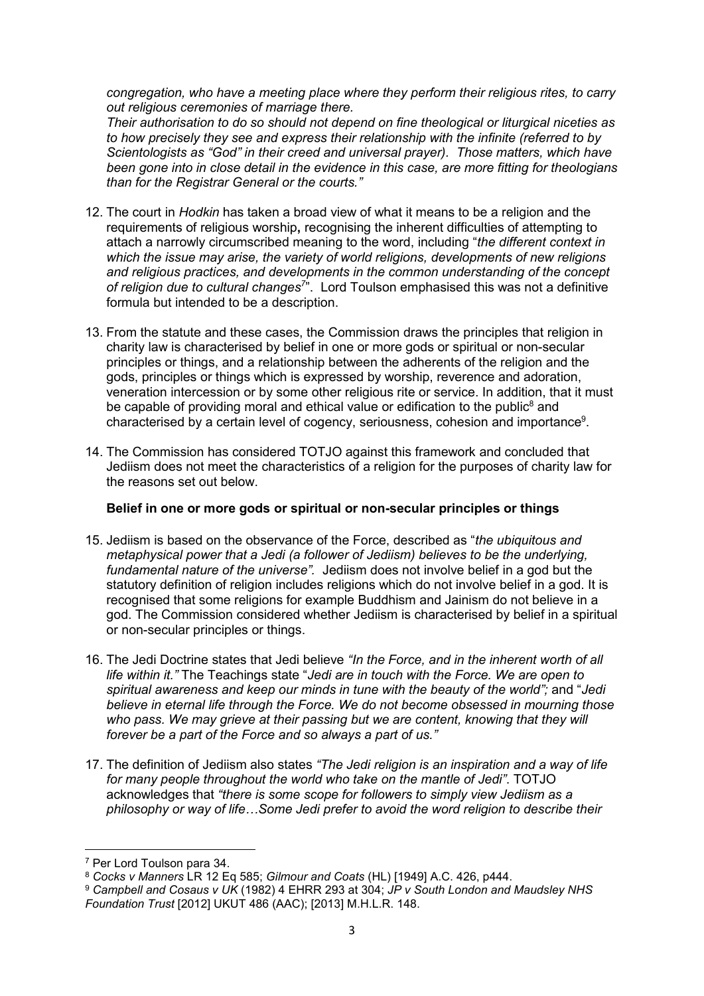*congregation, who have a meeting place where they perform their religious rites, to carry out religious ceremonies of marriage there.*

*Their authorisation to do so should not depend on fine theological or liturgical niceties as to how precisely they see and express their relationship with the infinite (referred to by Scientologists as "God" in their creed and universal prayer). Those matters, which have been gone into in close detail in the evidence in this case, are more fitting for theologians than for the Registrar General or the courts."*

- 12. The court in *Hodkin* has taken a broad view of what it means to be a religion and the requirements of religious worship**,** recognising the inherent difficulties of attempting to attach a narrowly circumscribed meaning to the word, including "*the different context in which the issue may arise, the variety of world religions, developments of new religions and religious practices, and developments in the common understanding of the concept of religion due to cultural changes<sup>7</sup>* ". Lord Toulson emphasised this was not a definitive formula but intended to be a description.
- 13. From the statute and these cases, the Commission draws the principles that religion in charity law is characterised by belief in one or more gods or spiritual or non-secular principles or things, and a relationship between the adherents of the religion and the gods, principles or things which is expressed by worship, reverence and adoration, veneration intercession or by some other religious rite or service. In addition, that it must be capable of providing moral and ethical value or edification to the public<sup>8</sup> and characterised by a certain level of cogency, seriousness, cohesion and importance<sup>9</sup>.
- 14. The Commission has considered TOTJO against this framework and concluded that Jediism does not meet the characteristics of a religion for the purposes of charity law for the reasons set out below.

### **Belief in one or more gods or spiritual or non-secular principles or things**

- 15. Jediism is based on the observance of the Force, described as "*the ubiquitous and metaphysical power that a Jedi (a follower of Jediism) believes to be the underlying, fundamental nature of the universe".* Jediism does not involve belief in a god but the statutory definition of religion includes religions which do not involve belief in a god. It is recognised that some religions for example Buddhism and Jainism do not believe in a god. The Commission considered whether Jediism is characterised by belief in a spiritual or non-secular principles or things.
- 16. The Jedi Doctrine states that Jedi believe *"In the Force, and in the inherent worth of all life within it."* The Teachings state "*Jedi are in touch with the Force. We are open to spiritual awareness and keep our minds in tune with the beauty of the world";* and "*Jedi believe in eternal life through the Force. We do not become obsessed in mourning those who pass. We may grieve at their passing but we are content, knowing that they will forever be a part of the Force and so always a part of us."*
- 17. The definition of Jediism also states *"The Jedi religion is an inspiration and a way of life for many people throughout the world who take on the mantle of Jedi"*. TOTJO acknowledges that *"there is some scope for followers to simply view Jediism as a philosophy or way of life…Some Jedi prefer to avoid the word religion to describe their*

<sup>7</sup> Per Lord Toulson para 34.

<sup>8</sup> *Cocks v Manners* LR 12 Eq 585; *Gilmour and Coats* (HL) [1949] A.C. 426, p444.

<sup>9</sup> *Campbell and Cosaus v UK* (1982) 4 EHRR 293 at 304; *JP v South London and Maudsley NHS Foundation Trust* [2012] UKUT 486 (AAC); [2013] M.H.L.R. 148.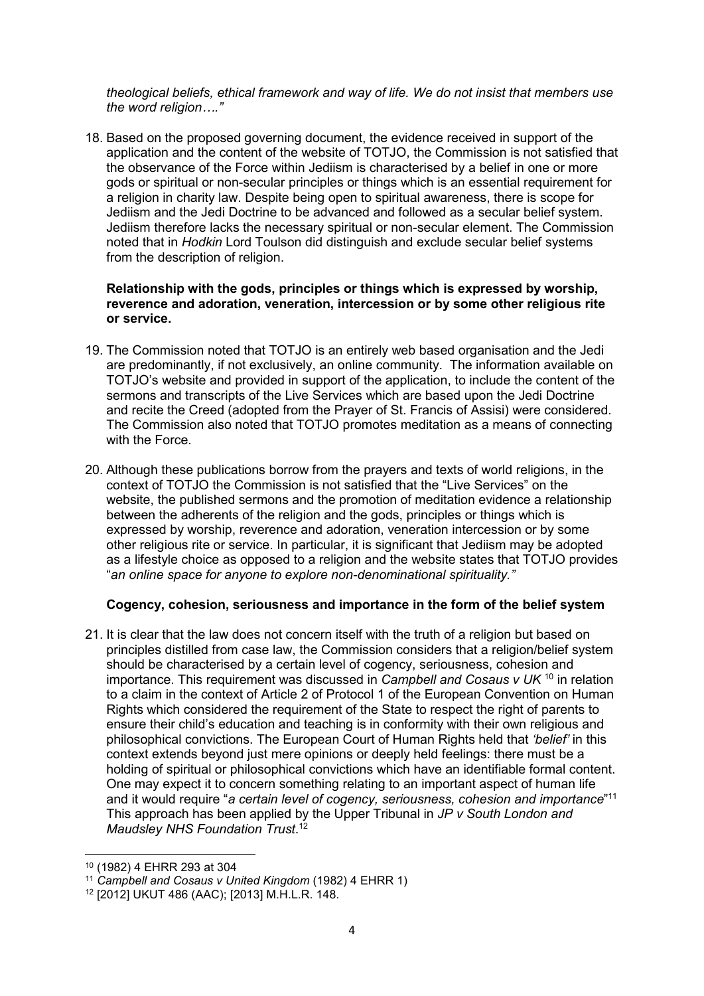*theological beliefs, ethical framework and way of life. We do not insist that members use the word religion…."*

18. Based on the proposed governing document, the evidence received in support of the application and the content of the website of TOTJO, the Commission is not satisfied that the observance of the Force within Jediism is characterised by a belief in one or more gods or spiritual or non-secular principles or things which is an essential requirement for a religion in charity law. Despite being open to spiritual awareness, there is scope for Jediism and the Jedi Doctrine to be advanced and followed as a secular belief system. Jediism therefore lacks the necessary spiritual or non-secular element. The Commission noted that in *Hodkin* Lord Toulson did distinguish and exclude secular belief systems from the description of religion.

#### **Relationship with the gods, principles or things which is expressed by worship, reverence and adoration, veneration, intercession or by some other religious rite or service.**

- 19. The Commission noted that TOTJO is an entirely web based organisation and the Jedi are predominantly, if not exclusively, an online community. The information available on TOTJO's website and provided in support of the application, to include the content of the sermons and transcripts of the Live Services which are based upon the Jedi Doctrine and recite the Creed (adopted from the Prayer of St. Francis of Assisi) were considered. The Commission also noted that TOTJO promotes meditation as a means of connecting with the Force.
- 20. Although these publications borrow from the prayers and texts of world religions, in the context of TOTJO the Commission is not satisfied that the "Live Services" on the website, the published sermons and the promotion of meditation evidence a relationship between the adherents of the religion and the gods, principles or things which is expressed by worship, reverence and adoration, veneration intercession or by some other religious rite or service. In particular, it is significant that Jediism may be adopted as a lifestyle choice as opposed to a religion and the website states that TOTJO provides "*an online space for anyone to explore non-denominational spirituality."*

### **Cogency, cohesion, seriousness and importance in the form of the belief system**

21. It is clear that the law does not concern itself with the truth of a religion but based on principles distilled from case law, the Commission considers that a religion/belief system should be characterised by a certain level of cogency, seriousness, cohesion and importance. This requirement was discussed in *Campbell and Cosaus v UK* <sup>10</sup> in relation to a claim in the context of Article 2 of Protocol 1 of the European Convention on Human Rights which considered the requirement of the State to respect the right of parents to ensure their child's education and teaching is in conformity with their own religious and philosophical convictions. The European Court of Human Rights held that *'belief'* in this context extends beyond just mere opinions or deeply held feelings: there must be a holding of spiritual or philosophical convictions which have an identifiable formal content. One may expect it to concern something relating to an important aspect of human life and it would require "*a certain level of cogency, seriousness, cohesion and importance*"<sup>11</sup> This approach has been applied by the Upper Tribunal in *JP v South London and Maudsley NHS Foundation Trust*.<sup>12</sup>

<sup>10</sup> (1982) 4 EHRR 293 at 304

<sup>11</sup> *Campbell and Cosaus v United Kingdom* (1982) 4 EHRR 1)

<sup>12</sup> [2012] UKUT 486 (AAC); [2013] M.H.L.R. 148.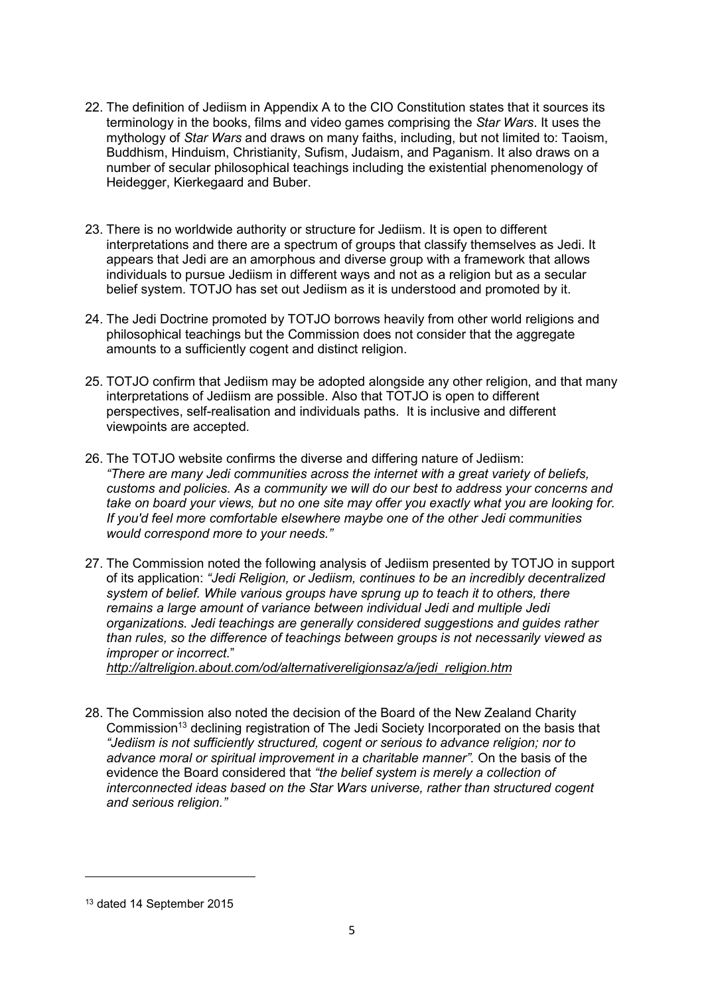- 22. The definition of Jediism in Appendix A to the CIO Constitution states that it sources its terminology in the books, films and video games comprising the *Star Wars*. It uses the mythology of *Star Wars* and draws on many faiths, including, but not limited to: Taoism, Buddhism, Hinduism, Christianity, Sufism, Judaism, and Paganism. It also draws on a number of secular philosophical teachings including the existential phenomenology of Heidegger, Kierkegaard and Buber.
- 23. There is no worldwide authority or structure for Jediism. It is open to different interpretations and there are a spectrum of groups that classify themselves as Jedi. It appears that Jedi are an amorphous and diverse group with a framework that allows individuals to pursue Jediism in different ways and not as a religion but as a secular belief system. TOTJO has set out Jediism as it is understood and promoted by it.
- 24. The Jedi Doctrine promoted by TOTJO borrows heavily from other world religions and philosophical teachings but the Commission does not consider that the aggregate amounts to a sufficiently cogent and distinct religion.
- 25. TOTJO confirm that Jediism may be adopted alongside any other religion, and that many interpretations of Jediism are possible. Also that TOTJO is open to different perspectives, self-realisation and individuals paths. It is inclusive and different viewpoints are accepted.
- 26. The TOTJO website confirms the diverse and differing nature of Jediism: *"There are many Jedi communities across the internet with a great variety of beliefs, customs and policies. As a community we will do our best to address your concerns and take on board your views, but no one site may offer you exactly what you are looking for. If you'd feel more comfortable elsewhere maybe one of the other Jedi communities would correspond more to your needs."*
- 27. The Commission noted the following analysis of Jediism presented by TOTJO in support of its application: *"[Jedi Religion,](http://altreligion.about.com/od/beliefsandcreeds/f/faq_jedi.htm) or Jediism, continues to be an incredibly decentralized system of belief. While various groups have sprung up to teach it to others, there remains a large amount of variance between individual Jedi and multiple Jedi organizations. Jedi teachings are generally considered suggestions and guides rather than rules, so the difference of teachings between groups is not necessarily viewed as improper or incorrect.*"

*[http://altreligion.about.com/od/alternativereligionsaz/a/jedi\\_religion.htm](http://altreligion.about.com/od/alternativereligionsaz/a/jedi_religion.htm)*

28. The Commission also noted the decision of the Board of the New Zealand Charity Commission<sup>13</sup> declining registration of The Jedi Society Incorporated on the basis that *"Jediism is not sufficiently structured, cogent or serious to advance religion; nor to advance moral or spiritual improvement in a charitable manner".* On the basis of the evidence the Board considered that *"the belief system is merely a collection of interconnected ideas based on the Star Wars universe, rather than structured cogent and serious religion."*

<sup>13</sup> dated 14 September 2015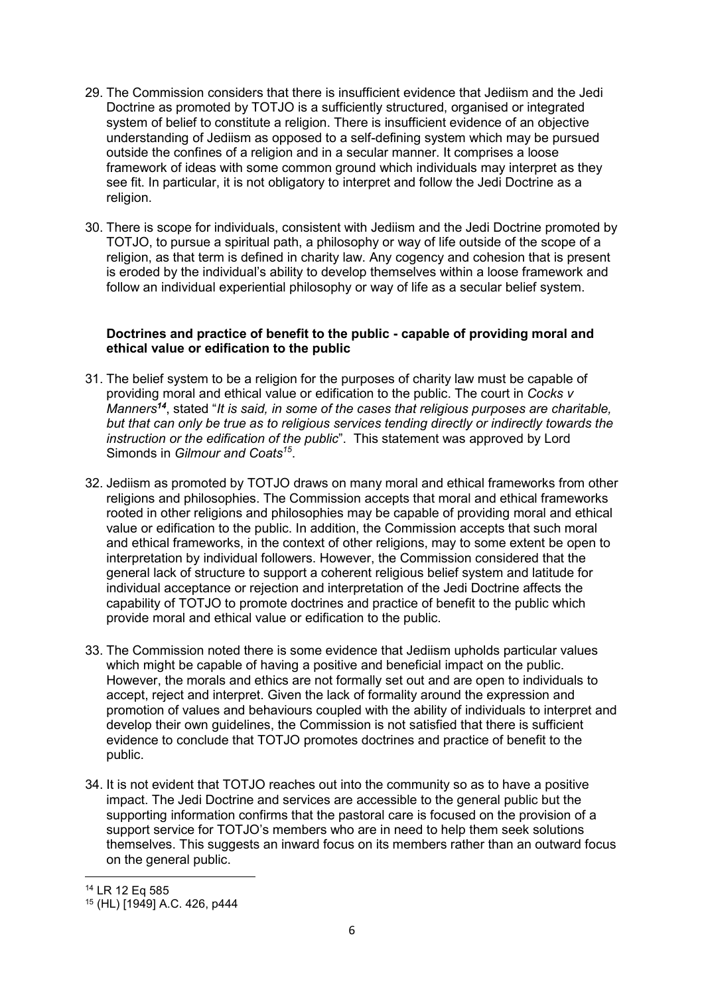- 29. The Commission considers that there is insufficient evidence that Jediism and the Jedi Doctrine as promoted by TOTJO is a sufficiently structured, organised or integrated system of belief to constitute a religion. There is insufficient evidence of an objective understanding of Jediism as opposed to a self-defining system which may be pursued outside the confines of a religion and in a secular manner. It comprises a loose framework of ideas with some common ground which individuals may interpret as they see fit. In particular, it is not obligatory to interpret and follow the Jedi Doctrine as a religion.
- 30. There is scope for individuals, consistent with Jediism and the Jedi Doctrine promoted by TOTJO, to pursue a spiritual path, a philosophy or way of life outside of the scope of a religion, as that term is defined in charity law. Any cogency and cohesion that is present is eroded by the individual's ability to develop themselves within a loose framework and follow an individual experiential philosophy or way of life as a secular belief system.

### **Doctrines and practice of benefit to the public - capable of providing moral and ethical value or edification to the public**

- 31. The belief system to be a religion for the purposes of charity law must be capable of providing moral and ethical value or edification to the public. The court in *Cocks v Manners<sup>14</sup>*, stated "*It is said, in some of the cases that religious purposes are charitable, but that can only be true as to religious services tending directly or indirectly towards the instruction or the edification of the public*". This statement was approved by Lord Simonds in *Gilmour and Coats<sup>15</sup>* .
- 32. Jediism as promoted by TOTJO draws on many moral and ethical frameworks from other religions and philosophies. The Commission accepts that moral and ethical frameworks rooted in other religions and philosophies may be capable of providing moral and ethical value or edification to the public. In addition, the Commission accepts that such moral and ethical frameworks, in the context of other religions, may to some extent be open to interpretation by individual followers. However, the Commission considered that the general lack of structure to support a coherent religious belief system and latitude for individual acceptance or rejection and interpretation of the Jedi Doctrine affects the capability of TOTJO to promote doctrines and practice of benefit to the public which provide moral and ethical value or edification to the public.
- 33. The Commission noted there is some evidence that Jediism upholds particular values which might be capable of having a positive and beneficial impact on the public. However, the morals and ethics are not formally set out and are open to individuals to accept, reject and interpret. Given the lack of formality around the expression and promotion of values and behaviours coupled with the ability of individuals to interpret and develop their own guidelines, the Commission is not satisfied that there is sufficient evidence to conclude that TOTJO promotes doctrines and practice of benefit to the public.
- 34. It is not evident that TOTJO reaches out into the community so as to have a positive impact. The Jedi Doctrine and services are accessible to the general public but the supporting information confirms that the pastoral care is focused on the provision of a support service for TOTJO's members who are in need to help them seek solutions themselves. This suggests an inward focus on its members rather than an outward focus on the general public.

<sup>14</sup> LR 12 Eq 585

<sup>15</sup> (HL) [1949] A.C. 426, p444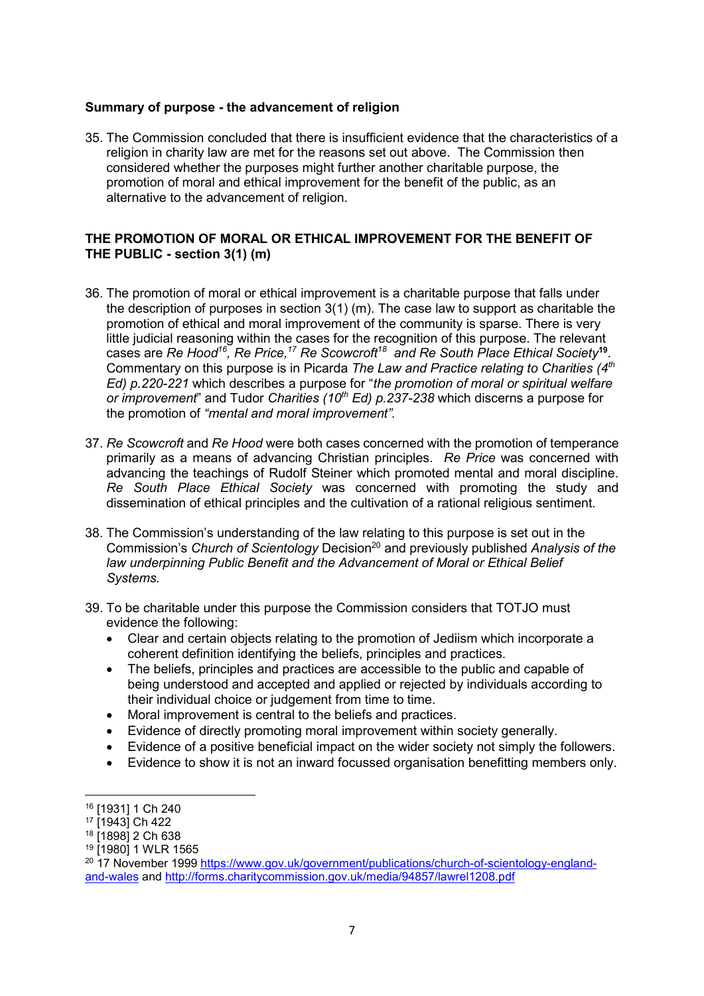#### **Summary of purpose - the advancement of religion**

35. The Commission concluded that there is insufficient evidence that the characteristics of a religion in charity law are met for the reasons set out above. The Commission then considered whether the purposes might further another charitable purpose, the promotion of moral and ethical improvement for the benefit of the public, as an alternative to the advancement of religion.

### **THE PROMOTION OF MORAL OR ETHICAL IMPROVEMENT FOR THE BENEFIT OF THE PUBLIC - section 3(1) (m)**

- 36. The promotion of moral or ethical improvement is a charitable purpose that falls under the description of purposes in section 3(1) (m). The case law to support as charitable the promotion of ethical and moral improvement of the community is sparse. There is very little judicial reasoning within the cases for the recognition of this purpose. The relevant cases are *Re Hood<sup>16</sup> , Re Price,<sup>17</sup> Re Scowcroft<sup>18</sup> and Re South Place Ethical Society***<sup>19</sup>** . Commentary on this purpose is in Picarda *The Law and Practice relating to Charities (4th Ed) p.220-221* which describes a purpose for "*the promotion of moral or spiritual welfare or improvement*" and Tudor *Charities (10th Ed) p.237-238* which discerns a purpose for the promotion of *"mental and moral improvement".*
- 37. *Re Scowcroft* and *Re Hood* were both cases concerned with the promotion of temperance primarily as a means of advancing Christian principles. *Re Price* was concerned with advancing the teachings of Rudolf Steiner which promoted mental and moral discipline. *Re South Place Ethical Society* was concerned with promoting the study and dissemination of ethical principles and the cultivation of a rational religious sentiment.
- 38. The Commission's understanding of the law relating to this purpose is set out in the Commission's *Church of Scientology* Decision<sup>20</sup> and previously published *Analysis of the law underpinning Public Benefit and the Advancement of Moral or Ethical Belief Systems.*
- 39. To be charitable under this purpose the Commission considers that TOTJO must evidence the following:
	- Clear and certain objects relating to the promotion of Jediism which incorporate a coherent definition identifying the beliefs, principles and practices.
	- The beliefs, principles and practices are accessible to the public and capable of being understood and accepted and applied or rejected by individuals according to their individual choice or judgement from time to time.
	- Moral improvement is central to the beliefs and practices.
	- Evidence of directly promoting moral improvement within society generally.
	- Evidence of a positive beneficial impact on the wider society not simply the followers.
	- Evidence to show it is not an inward focussed organisation benefitting members only.

<sup>16</sup> [1931] 1 Ch 240

<sup>17</sup> [1943] Ch 422

<sup>18</sup> [1898] 2 Ch 638

<sup>19</sup> [1980] 1 WLR 1565

<sup>&</sup>lt;sup>20</sup> 17 November 1999 [https://www.gov.uk/government/publications/church-of-scientology-england](https://www.gov.uk/government/publications/church-of-scientology-england-and-wales) [and-wales](https://www.gov.uk/government/publications/church-of-scientology-england-and-wales) and <http://forms.charitycommission.gov.uk/media/94857/lawrel1208.pdf>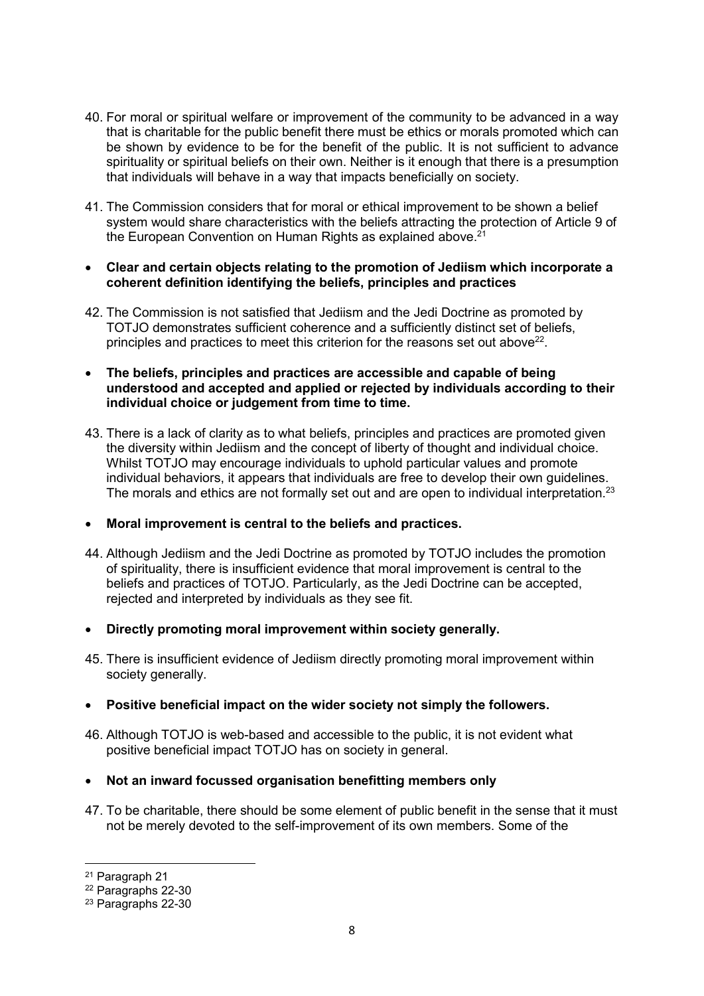- 40. For moral or spiritual welfare or improvement of the community to be advanced in a way that is charitable for the public benefit there must be ethics or morals promoted which can be shown by evidence to be for the benefit of the public. It is not sufficient to advance spirituality or spiritual beliefs on their own. Neither is it enough that there is a presumption that individuals will behave in a way that impacts beneficially on society.
- 41. The Commission considers that for moral or ethical improvement to be shown a belief system would share characteristics with the beliefs attracting the protection of Article 9 of the European Convention on Human Rights as explained above.<sup>21</sup>
- **Clear and certain objects relating to the promotion of Jediism which incorporate a coherent definition identifying the beliefs, principles and practices**
- 42. The Commission is not satisfied that Jediism and the Jedi Doctrine as promoted by TOTJO demonstrates sufficient coherence and a sufficiently distinct set of beliefs, principles and practices to meet this criterion for the reasons set out above<sup>22</sup>.
- **The beliefs, principles and practices are accessible and capable of being understood and accepted and applied or rejected by individuals according to their individual choice or judgement from time to time.**
- 43. There is a lack of clarity as to what beliefs, principles and practices are promoted given the diversity within Jediism and the concept of liberty of thought and individual choice. Whilst TOTJO may encourage individuals to uphold particular values and promote individual behaviors, it appears that individuals are free to develop their own guidelines. The morals and ethics are not formally set out and are open to individual interpretation.<sup>23</sup>
- **Moral improvement is central to the beliefs and practices.**
- 44. Although Jediism and the Jedi Doctrine as promoted by TOTJO includes the promotion of spirituality, there is insufficient evidence that moral improvement is central to the beliefs and practices of TOTJO. Particularly, as the Jedi Doctrine can be accepted, rejected and interpreted by individuals as they see fit.
- **Directly promoting moral improvement within society generally.**
- 45. There is insufficient evidence of Jediism directly promoting moral improvement within society generally.
- **Positive beneficial impact on the wider society not simply the followers.**
- 46. Although TOTJO is web-based and accessible to the public, it is not evident what positive beneficial impact TOTJO has on society in general.
- **Not an inward focussed organisation benefitting members only**
- 47. To be charitable, there should be some element of public benefit in the sense that it must not be merely devoted to the self-improvement of its own members. Some of the

<sup>21</sup> Paragraph 21

<sup>22</sup> Paragraphs 22-30

<sup>23</sup> Paragraphs 22-30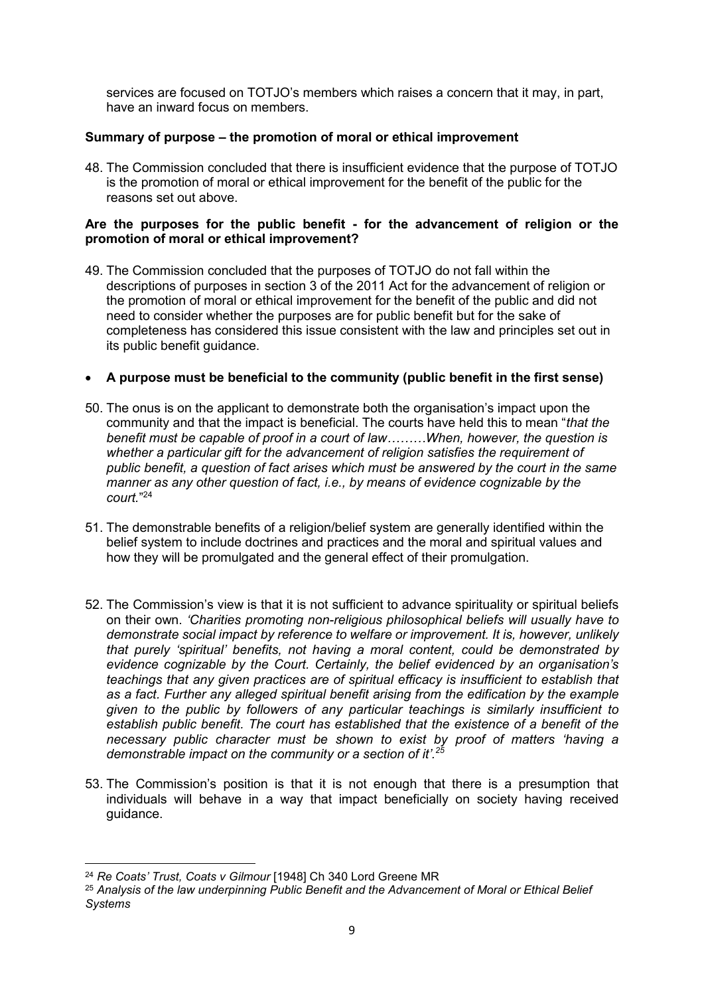services are focused on TOTJO's members which raises a concern that it may, in part, have an inward focus on members.

## **Summary of purpose – the promotion of moral or ethical improvement**

48. The Commission concluded that there is insufficient evidence that the purpose of TOTJO is the promotion of moral or ethical improvement for the benefit of the public for the reasons set out above.

### **Are the purposes for the public benefit - for the advancement of religion or the promotion of moral or ethical improvement?**

49. The Commission concluded that the purposes of TOTJO do not fall within the descriptions of purposes in section 3 of the 2011 Act for the advancement of religion or the promotion of moral or ethical improvement for the benefit of the public and did not need to consider whether the purposes are for public benefit but for the sake of completeness has considered this issue consistent with the law and principles set out in its public benefit guidance.

## **A purpose must be beneficial to the community (public benefit in the first sense)**

- 50. The onus is on the applicant to demonstrate both the organisation's impact upon the community and that the impact is beneficial. The courts have held this to mean "*that the benefit must be capable of proof in a court of law………When, however, the question is whether a particular gift for the advancement of religion satisfies the requirement of public benefit, a question of fact arises which must be answered by the court in the same manner as any other question of fact, i.e., by means of evidence cognizable by the court.*"<sup>24</sup>
- 51. The demonstrable benefits of a religion/belief system are generally identified within the belief system to include doctrines and practices and the moral and spiritual values and how they will be promulgated and the general effect of their promulgation.
- 52. The Commission's view is that it is not sufficient to advance spirituality or spiritual beliefs on their own. *'Charities promoting non-religious philosophical beliefs will usually have to demonstrate social impact by reference to welfare or improvement. It is, however, unlikely that purely 'spiritual' benefits, not having a moral content, could be demonstrated by evidence cognizable by the Court. Certainly, the belief evidenced by an organisation's teachings that any given practices are of spiritual efficacy is insufficient to establish that as a fact. Further any alleged spiritual benefit arising from the edification by the example given to the public by followers of any particular teachings is similarly insufficient to establish public benefit. The court has established that the existence of a benefit of the necessary public character must be shown to exist by proof of matters 'having a demonstrable impact on the community or a section of it'.<sup>25</sup>*
- 53. The Commission's position is that it is not enough that there is a presumption that individuals will behave in a way that impact beneficially on society having received guidance.

<sup>24</sup> *Re Coats' Trust, Coats v Gilmour* [1948] Ch 340 Lord Greene MR

<sup>25</sup> *Analysis of the law underpinning Public Benefit and the Advancement of Moral or Ethical Belief Systems*